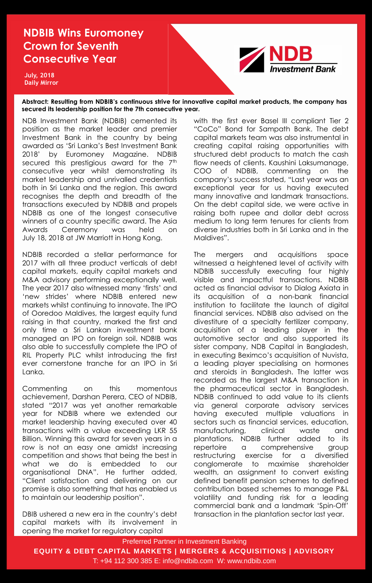Preferred Partner in Investment Banking

**EQUITY & DEBT CAPITAL MARKETS | MERGERS & ACQUISITIONS | ADVISORY**

T: +94 112 300 385 E: info@ndbib.com W: www.ndbib.com

## **NDBIB Wins Euromoney Crown for Seventh Consecutive Year**

**Abstract: Resulting from NDBIB's continuous strive for innovative capital market products, the company has secured its leadership position for the 7th consecutive year.**

**July, 2018 Daily Mirror** 



NDB Investment Bank (NDBIB) cemented its position as the market leader and premier Investment Bank in the country by being awarded as "Sri Lanka"s Best Investment Bank 2018" by Euromoney Magazine. NDBIB secured this prestigious award for the 7th consecutive year whilst demonstrating its market leadership and unrivalled credentials both in Sri Lanka and the region. This award recognises the depth and breadth of the transactions executed by NDBIB and propels NDBIB as one of the longest consecutive winners of a country specific award. The Asia Awards Ceremony was held on July 18, 2018 at JW Marriott in Hong Kong.

NDBIB recorded a stellar performance for 2017 with all three product verticals of debt capital markets, equity capital markets and M&A advisory performing exceptionally well. The year 2017 also witnessed many "firsts" and "new strides" where NDBIB entered new markets whilst continuing to innovate. The IPO of Ooredoo Maldives, the largest equity fund raising in that country, marked the first and only time a Sri Lankan investment bank managed an IPO on foreign soil. NDBIB was also able to successfully complete the IPO of RIL Property PLC whilst introducing the first ever cornerstone tranche for an IPO in Sri Lanka.

Commenting on this momentous achievement, Darshan Perera, CEO of NDBIB, stated "2017 was yet another remarkable year for NDBIB where we extended our market leadership having executed over 40 transactions with a value exceeding LKR 55 Billion. Winning this award for seven years in a row is not an easy one amidst increasing competition and shows that being the best in what we do is embedded to our organisational DNA". He further added, "Client satisfaction and delivering on our promise is also something that has enabled us to maintain our leadership position".

DBIB ushered a new era in the country"s debt capital markets with its involvement in opening the market for regulatory capital

with the first ever Basel III compliant Tier 2 "CoCo" Bond for Sampath Bank. The debt capital markets team was also instrumental in creating capital raising opportunities with structured debt products to match the cash flow needs of clients. Kaushini Laksumanage, COO of NDBIB, commenting on the company"s success stated, "Last year was an exceptional year for us having executed many innovative and landmark transactions. On the debt capital side, we were active in raising both rupee and dollar debt across medium to long term tenures for clients from diverse industries both in Sri Lanka and in the Maldives".

The mergers and acquisitions space witnessed a heightened level of activity with NDBIB successfully executing four highly visible and impactful transactions. NDBIB acted as financial advisor to Dialog Axiata in its acquisition of a non-bank financial institution to facilitate the launch of digital financial services. NDBIB also advised on the divestiture of a specialty fertilizer company, acquisition of a leading player in the automotive sector and also supported its sister company, NDB Capital in Bangladesh, in executing Beximco"s acquisition of Nuvista, a leading player specialising on hormones and steroids in Bangladesh. The latter was recorded as the largest M&A transaction in the pharmaceutical sector in Bangladesh. NDBIB continued to add value to its clients via general corporate advisory services having executed multiple valuations in sectors such as financial services, education, manufacturing, clinical waste and plantations. NDBIB further added to its repertoire a comprehensive group restructuring exercise for a diversified conglomerate to maximise shareholder wealth, an assignment to convert existing defined benefit pension schemes to defined contribution based schemes to manage P&L volatility and funding risk for a leading commercial bank and a landmark "Spin-Off" transaction in the plantation sector last year.